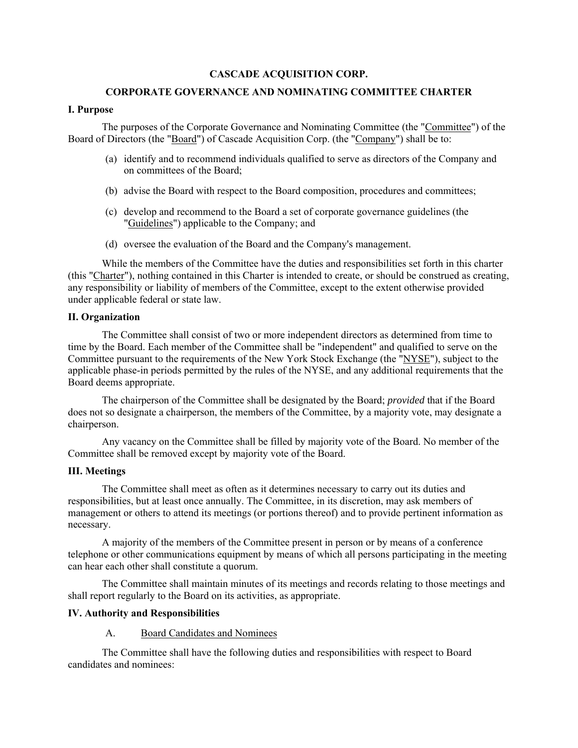# **CASCADE ACQUISITION CORP.**

## **CORPORATE GOVERNANCE AND NOMINATING COMMITTEE CHARTER**

#### **I. Purpose**

The purposes of the Corporate Governance and Nominating Committee (the "Committee") of the Board of Directors (the "Board") of Cascade Acquisition Corp. (the "Company") shall be to:

- (a) identify and to recommend individuals qualified to serve as directors of the Company and on committees of the Board;
- (b) advise the Board with respect to the Board composition, procedures and committees;
- (c) develop and recommend to the Board a set of corporate governance guidelines (the "Guidelines") applicable to the Company; and
- (d) oversee the evaluation of the Board and the Company's management.

While the members of the Committee have the duties and responsibilities set forth in this charter (this "Charter"), nothing contained in this Charter is intended to create, or should be construed as creating, any responsibility or liability of members of the Committee, except to the extent otherwise provided under applicable federal or state law.

## **II. Organization**

The Committee shall consist of two or more independent directors as determined from time to time by the Board. Each member of the Committee shall be "independent" and qualified to serve on the Committee pursuant to the requirements of the New York Stock Exchange (the "NYSE"), subject to the applicable phase-in periods permitted by the rules of the NYSE, and any additional requirements that the Board deems appropriate.

The chairperson of the Committee shall be designated by the Board; *provided* that if the Board does not so designate a chairperson, the members of the Committee, by a majority vote, may designate a chairperson.

Any vacancy on the Committee shall be filled by majority vote of the Board. No member of the Committee shall be removed except by majority vote of the Board.

#### **III. Meetings**

The Committee shall meet as often as it determines necessary to carry out its duties and responsibilities, but at least once annually. The Committee, in its discretion, may ask members of management or others to attend its meetings (or portions thereof) and to provide pertinent information as necessary.

A majority of the members of the Committee present in person or by means of a conference telephone or other communications equipment by means of which all persons participating in the meeting can hear each other shall constitute a quorum.

The Committee shall maintain minutes of its meetings and records relating to those meetings and shall report regularly to the Board on its activities, as appropriate.

#### **IV. Authority and Responsibilities**

A. Board Candidates and Nominees

The Committee shall have the following duties and responsibilities with respect to Board candidates and nominees: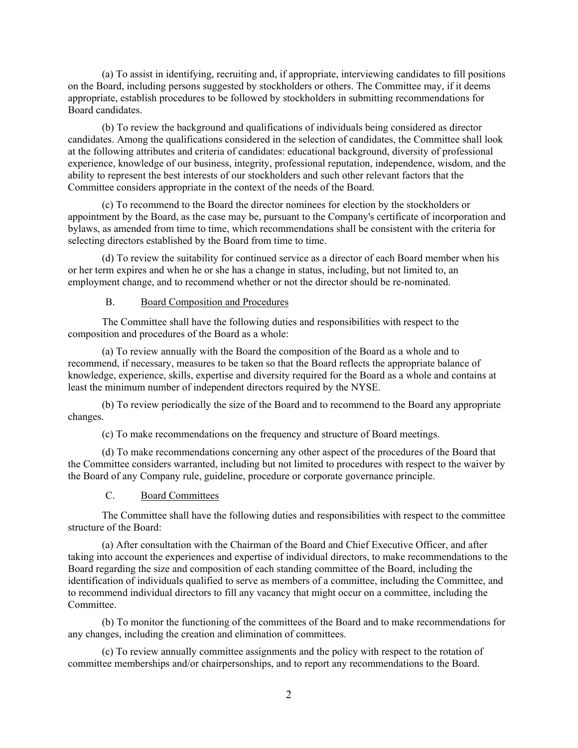(a) To assist in identifying, recruiting and, if appropriate, interviewing candidates to fill positions on the Board, including persons suggested by stockholders or others. The Committee may, if it deems appropriate, establish procedures to be followed by stockholders in submitting recommendations for Board candidates.

(b) To review the background and qualifications of individuals being considered as director candidates. Among the qualifications considered in the selection of candidates, the Committee shall look at the following attributes and criteria of candidates: educational background, diversity of professional experience, knowledge of our business, integrity, professional reputation, independence, wisdom, and the ability to represent the best interests of our stockholders and such other relevant factors that the Committee considers appropriate in the context of the needs of the Board.

(c) To recommend to the Board the director nominees for election by the stockholders or appointment by the Board, as the case may be, pursuant to the Company's certificate of incorporation and bylaws, as amended from time to time, which recommendations shall be consistent with the criteria for selecting directors established by the Board from time to time.

(d) To review the suitability for continued service as a director of each Board member when his or her term expires and when he or she has a change in status, including, but not limited to, an employment change, and to recommend whether or not the director should be re-nominated.

# B. Board Composition and Procedures

The Committee shall have the following duties and responsibilities with respect to the composition and procedures of the Board as a whole:

(a) To review annually with the Board the composition of the Board as a whole and to recommend, if necessary, measures to be taken so that the Board reflects the appropriate balance of knowledge, experience, skills, expertise and diversity required for the Board as a whole and contains at least the minimum number of independent directors required by the NYSE.

(b) To review periodically the size of the Board and to recommend to the Board any appropriate changes.

(c) To make recommendations on the frequency and structure of Board meetings.

(d) To make recommendations concerning any other aspect of the procedures of the Board that the Committee considers warranted, including but not limited to procedures with respect to the waiver by the Board of any Company rule, guideline, procedure or corporate governance principle.

# C. Board Committees

The Committee shall have the following duties and responsibilities with respect to the committee structure of the Board:

(a) After consultation with the Chairman of the Board and Chief Executive Officer, and after taking into account the experiences and expertise of individual directors, to make recommendations to the Board regarding the size and composition of each standing committee of the Board, including the identification of individuals qualified to serve as members of a committee, including the Committee, and to recommend individual directors to fill any vacancy that might occur on a committee, including the **Committee** 

(b) To monitor the functioning of the committees of the Board and to make recommendations for any changes, including the creation and elimination of committees.

(c) To review annually committee assignments and the policy with respect to the rotation of committee memberships and/or chairpersonships, and to report any recommendations to the Board.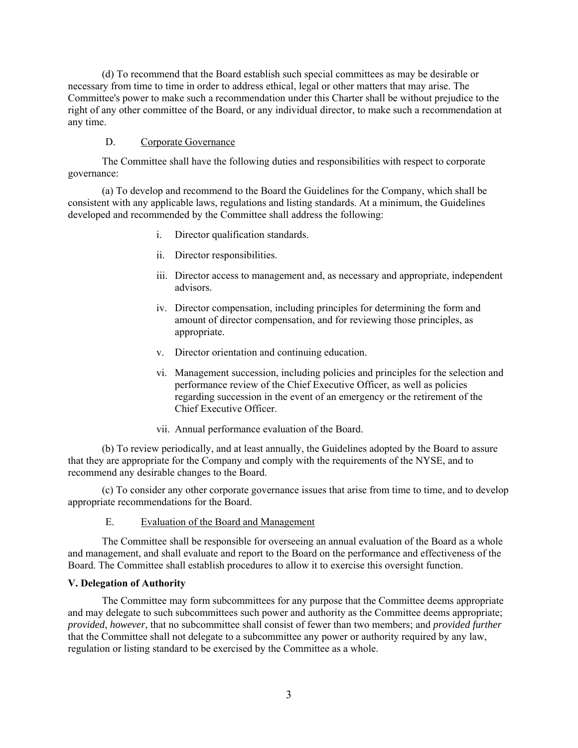(d) To recommend that the Board establish such special committees as may be desirable or necessary from time to time in order to address ethical, legal or other matters that may arise. The Committee's power to make such a recommendation under this Charter shall be without prejudice to the right of any other committee of the Board, or any individual director, to make such a recommendation at any time.

#### D. Corporate Governance

The Committee shall have the following duties and responsibilities with respect to corporate governance:

(a) To develop and recommend to the Board the Guidelines for the Company, which shall be consistent with any applicable laws, regulations and listing standards. At a minimum, the Guidelines developed and recommended by the Committee shall address the following:

- i. Director qualification standards.
- ii. Director responsibilities.
- iii. Director access to management and, as necessary and appropriate, independent advisors.
- iv. Director compensation, including principles for determining the form and amount of director compensation, and for reviewing those principles, as appropriate.
- v. Director orientation and continuing education.
- vi. Management succession, including policies and principles for the selection and performance review of the Chief Executive Officer, as well as policies regarding succession in the event of an emergency or the retirement of the Chief Executive Officer.
- vii. Annual performance evaluation of the Board.

(b) To review periodically, and at least annually, the Guidelines adopted by the Board to assure that they are appropriate for the Company and comply with the requirements of the NYSE, and to recommend any desirable changes to the Board.

(c) To consider any other corporate governance issues that arise from time to time, and to develop appropriate recommendations for the Board.

E. Evaluation of the Board and Management

The Committee shall be responsible for overseeing an annual evaluation of the Board as a whole and management, and shall evaluate and report to the Board on the performance and effectiveness of the Board. The Committee shall establish procedures to allow it to exercise this oversight function.

# **V. Delegation of Authority**

The Committee may form subcommittees for any purpose that the Committee deems appropriate and may delegate to such subcommittees such power and authority as the Committee deems appropriate; *provided*, *however*, that no subcommittee shall consist of fewer than two members; and *provided further* that the Committee shall not delegate to a subcommittee any power or authority required by any law, regulation or listing standard to be exercised by the Committee as a whole.